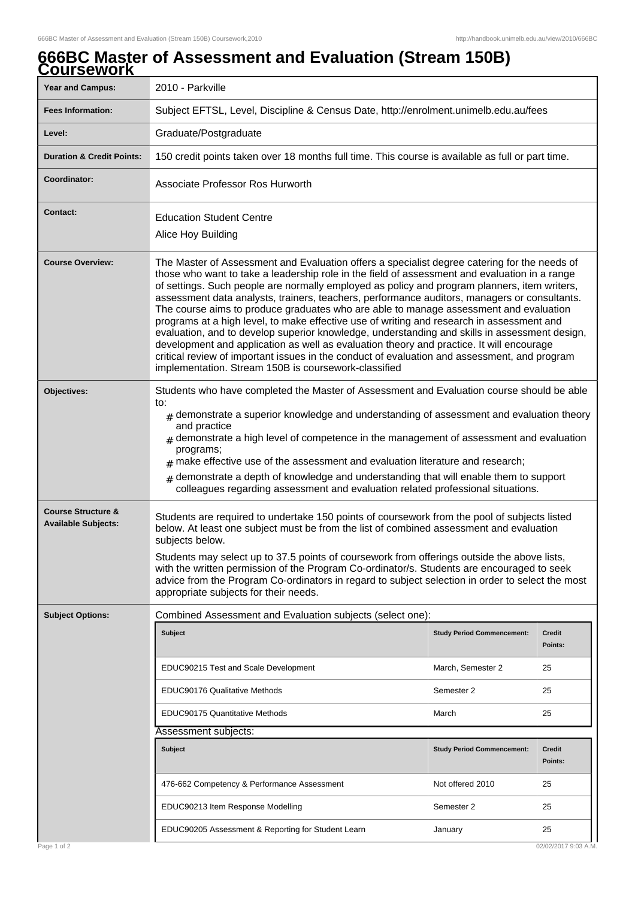## **666BC Master of Assessment and Evaluation (Stream 150B) Coursework Year and Campus:** 2010 - Parkville **Fees Information:** [Subject EFTSL, Level, Discipline & Census Date, http://enrolment.unimelb.edu.au/fees](http://enrolment.unimelb.edu.au/fees) Level: Graduate/Postgraduate **Duration & Credit Points:** 150 credit points taken over 18 months full time. This course is available as full or part time. **Coordinator:** Associate Professor Ros Hurworth **Contact:** Education Student Centre Alice Hoy Building **Course Overview:** The Master of Assessment and Evaluation offers a specialist degree catering for the needs of those who want to take a leadership role in the field of assessment and evaluation in a range of settings. Such people are normally employed as policy and program planners, item writers, assessment data analysts, trainers, teachers, performance auditors, managers or consultants. The course aims to produce graduates who are able to manage assessment and evaluation programs at a high level, to make effective use of writing and research in assessment and evaluation, and to develop superior knowledge, understanding and skills in assessment design, development and application as well as evaluation theory and practice. It will encourage critical review of important issues in the conduct of evaluation and assessment, and program implementation. Stream 150B is coursework-classified **Objectives:** Students who have completed the Master of Assessment and Evaluation course should be able to:  $_{\rm \#}$  demonstrate a superior knowledge and understanding of assessment and evaluation theory and practice  ${}_\#$  demonstrate a high level of competence in the management of assessment and evaluation programs;  $#$  make effective use of the assessment and evaluation literature and research:  ${}_{\#}$  demonstrate a depth of knowledge and understanding that will enable them to support colleagues regarding assessment and evaluation related professional situations. **Course Structure & Available Subjects:** Students are required to undertake 150 points of coursework from the pool of subjects listed below. At least one subject must be from the list of combined assessment and evaluation subjects below. Students may select up to 37.5 points of coursework from offerings outside the above lists, with the written permission of the Program Co-ordinator/s. Students are encouraged to seek advice from the Program Co-ordinators in regard to subject selection in order to select the most appropriate subjects for their needs. **Subject Options:** Combined Assessment and Evaluation subjects (select one): **Subject Study Period Commencement: Credit Points:** EDUC90215 Test and Scale Development March, Semester 2 25 EDUC90176 Qualitative Methods Semester 2 25 EDUC90175 Quantitative Methods March Narch March 25 Assessment subjects: **Subject Study Period Commencement: Credit**